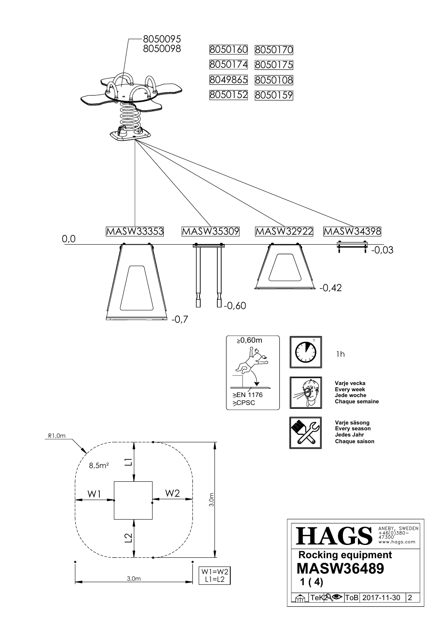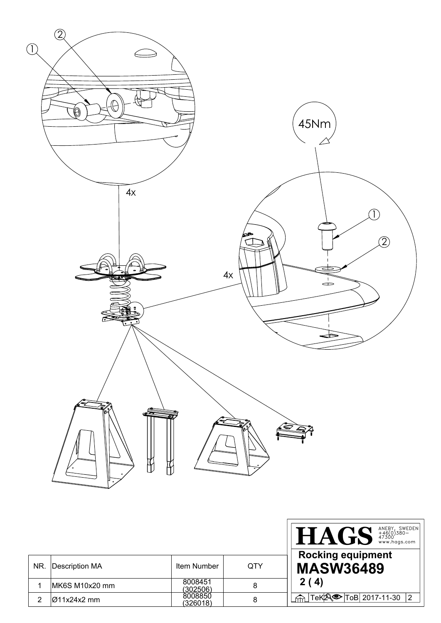

|     |                          |                     |            | ANEBY, SWEDEN<br>+46(0)380-<br>47300<br>www.hags.com<br><b>HAGS</b> |
|-----|--------------------------|---------------------|------------|---------------------------------------------------------------------|
| NR. | <b>Description MA</b>    | Item Number         | <b>QTY</b> | <b>Rocking equipment</b><br><b>MASW36489</b>                        |
|     | MK6S M10x20 mm           | 8008451<br>(302506) | 8          | 2(4)                                                                |
|     | $\varnothing$ 11x24x2 mm | 8008850<br>(326018) | 8          | $ Tek \$ To B 2017-11-30 2                                          |

ī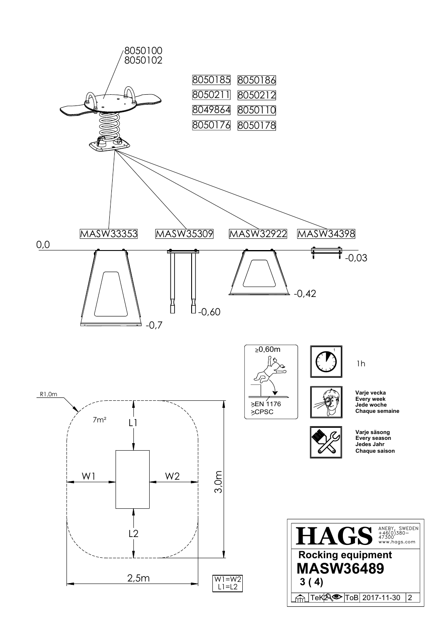